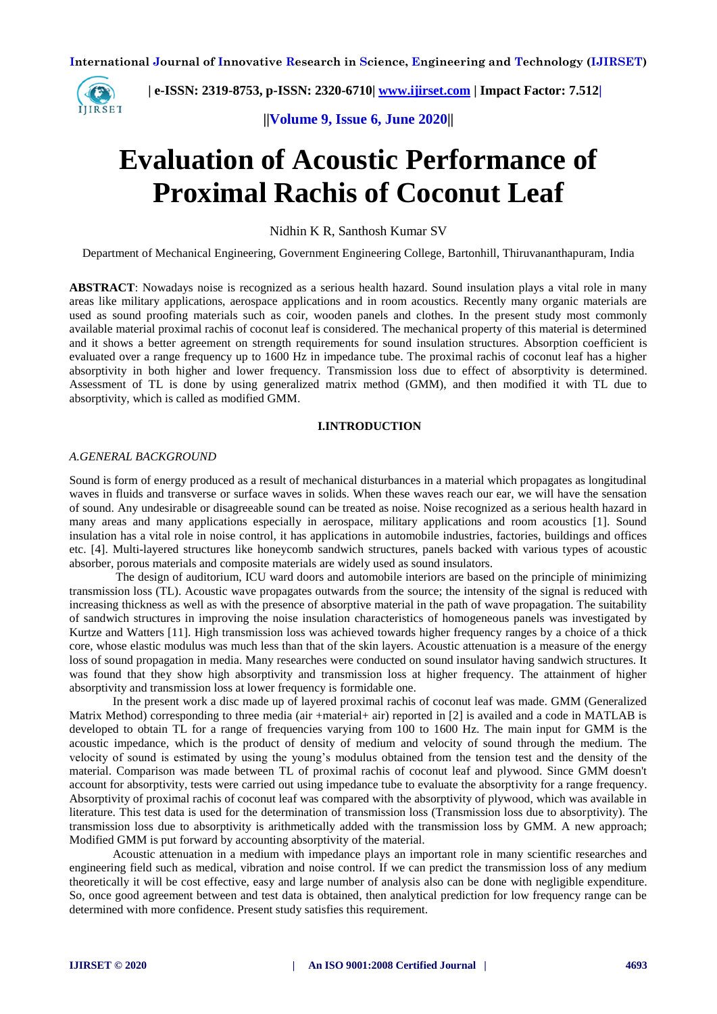

 **| e-ISSN: 2319-8753, p-ISSN: 2320-6710| [www.ijirset.com](http://www.ijirset.com/) | Impact Factor: 7.512|**

**||Volume 9, Issue 6, June 2020||** 

# **Evaluation of Acoustic Performance of Proximal Rachis of Coconut Leaf**

Nidhin K R, Santhosh Kumar SV

Department of Mechanical Engineering, Government Engineering College, Bartonhill, Thiruvananthapuram, India

**ABSTRACT**: Nowadays noise is recognized as a serious health hazard. Sound insulation plays a vital role in many areas like military applications, aerospace applications and in room acoustics. Recently many organic materials are used as sound proofing materials such as coir, wooden panels and clothes. In the present study most commonly available material proximal rachis of coconut leaf is considered. The mechanical property of this material is determined and it shows a better agreement on strength requirements for sound insulation structures. Absorption coefficient is evaluated over a range frequency up to 1600 Hz in impedance tube. The proximal rachis of coconut leaf has a higher absorptivity in both higher and lower frequency. Transmission loss due to effect of absorptivity is determined. Assessment of TL is done by using generalized matrix method (GMM), and then modified it with TL due to absorptivity, which is called as modified GMM.

#### **I.INTRODUCTION**

#### *A.GENERAL BACKGROUND*

Sound is form of energy produced as a result of mechanical disturbances in a material which propagates as longitudinal waves in fluids and transverse or surface waves in solids. When these waves reach our ear, we will have the sensation of sound. Any undesirable or disagreeable sound can be treated as noise. Noise recognized as a serious health hazard in many areas and many applications especially in aerospace, military applications and room acoustics [1]. Sound insulation has a vital role in noise control, it has applications in automobile industries, factories, buildings and offices etc. [4]. Multi-layered structures like honeycomb sandwich structures, panels backed with various types of acoustic absorber, porous materials and composite materials are widely used as sound insulators.

The design of auditorium, ICU ward doors and automobile interiors are based on the principle of minimizing transmission loss (TL). Acoustic wave propagates outwards from the source; the intensity of the signal is reduced with increasing thickness as well as with the presence of absorptive material in the path of wave propagation. The suitability of sandwich structures in improving the noise insulation characteristics of homogeneous panels was investigated by Kurtze and Watters [11]. High transmission loss was achieved towards higher frequency ranges by a choice of a thick core, whose elastic modulus was much less than that of the skin layers. Acoustic attenuation is a measure of the energy loss of sound propagation in media. Many researches were conducted on sound insulator having sandwich structures. It was found that they show high absorptivity and transmission loss at higher frequency. The attainment of higher absorptivity and transmission loss at lower frequency is formidable one.

In the present work a disc made up of layered proximal rachis of coconut leaf was made. GMM (Generalized Matrix Method) corresponding to three media (air +material+ air) reported in [2] is availed and a code in MATLAB is developed to obtain TL for a range of frequencies varying from 100 to 1600 Hz. The main input for GMM is the acoustic impedance, which is the product of density of medium and velocity of sound through the medium. The velocity of sound is estimated by using the young's modulus obtained from the tension test and the density of the material. Comparison was made between TL of proximal rachis of coconut leaf and plywood. Since GMM doesn't account for absorptivity, tests were carried out using impedance tube to evaluate the absorptivity for a range frequency. Absorptivity of proximal rachis of coconut leaf was compared with the absorptivity of plywood, which was available in literature. This test data is used for the determination of transmission loss (Transmission loss due to absorptivity). The transmission loss due to absorptivity is arithmetically added with the transmission loss by GMM. A new approach; Modified GMM is put forward by accounting absorptivity of the material.

Acoustic attenuation in a medium with impedance plays an important role in many scientific researches and engineering field such as medical, vibration and noise control. If we can predict the transmission loss of any medium theoretically it will be cost effective, easy and large number of analysis also can be done with negligible expenditure. So, once good agreement between and test data is obtained, then analytical prediction for low frequency range can be determined with more confidence. Present study satisfies this requirement.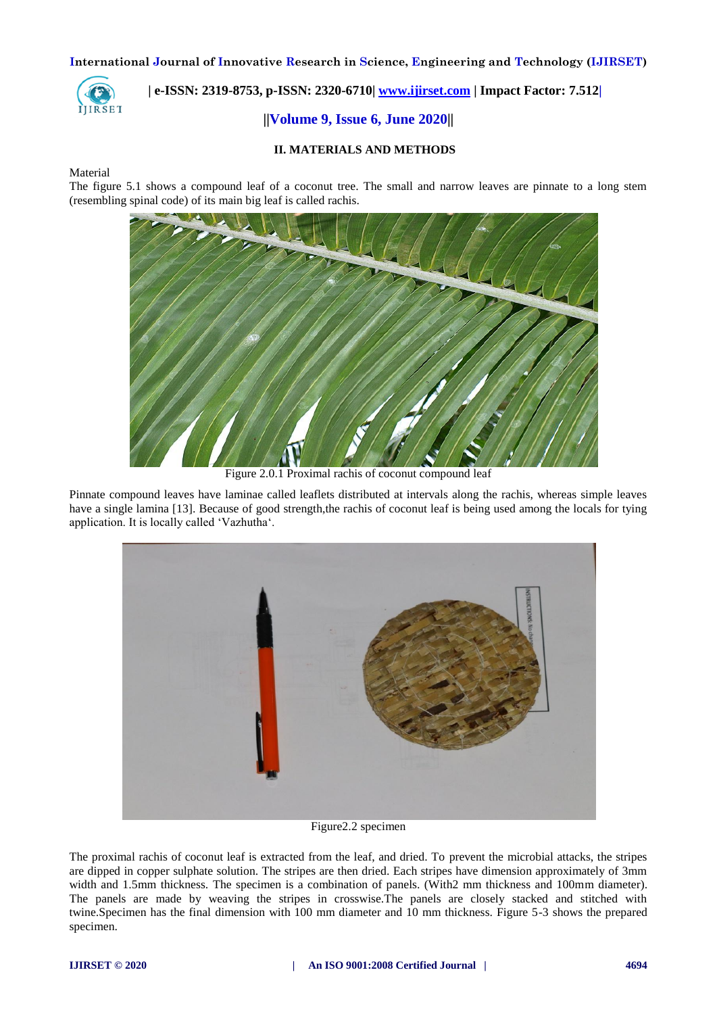

## **| e-ISSN: 2319-8753, p-ISSN: 2320-6710| [www.ijirset.com](http://www.ijirset.com/) | Impact Factor: 7.512|**

## **||Volume 9, Issue 6, June 2020||**

## **II. MATERIALS AND METHODS**

#### Material

The figure 5.1 shows a compound leaf of a coconut tree. The small and narrow leaves are pinnate to a long stem (resembling spinal code) of its main big leaf is called rachis.



Figure 2.0.1 Proximal rachis of coconut compound leaf

Pinnate compound leaves have laminae called leaflets distributed at intervals along the rachis, whereas simple leaves have a single lamina [13]. Because of good strength,the rachis of coconut leaf is being used among the locals for tying application. It is locally called 'Vazhutha'.



Figure2.2 specimen

The proximal rachis of coconut leaf is extracted from the leaf, and dried. To prevent the microbial attacks, the stripes are dipped in copper sulphate solution. The stripes are then dried. Each stripes have dimension approximately of 3mm width and 1.5mm thickness. The specimen is a combination of panels. (With2 mm thickness and 100mm diameter). The panels are made by weaving the stripes in crosswise.The panels are closely stacked and stitched with twine.Specimen has the final dimension with 100 mm diameter and 10 mm thickness. Figure 5-3 shows the prepared specimen.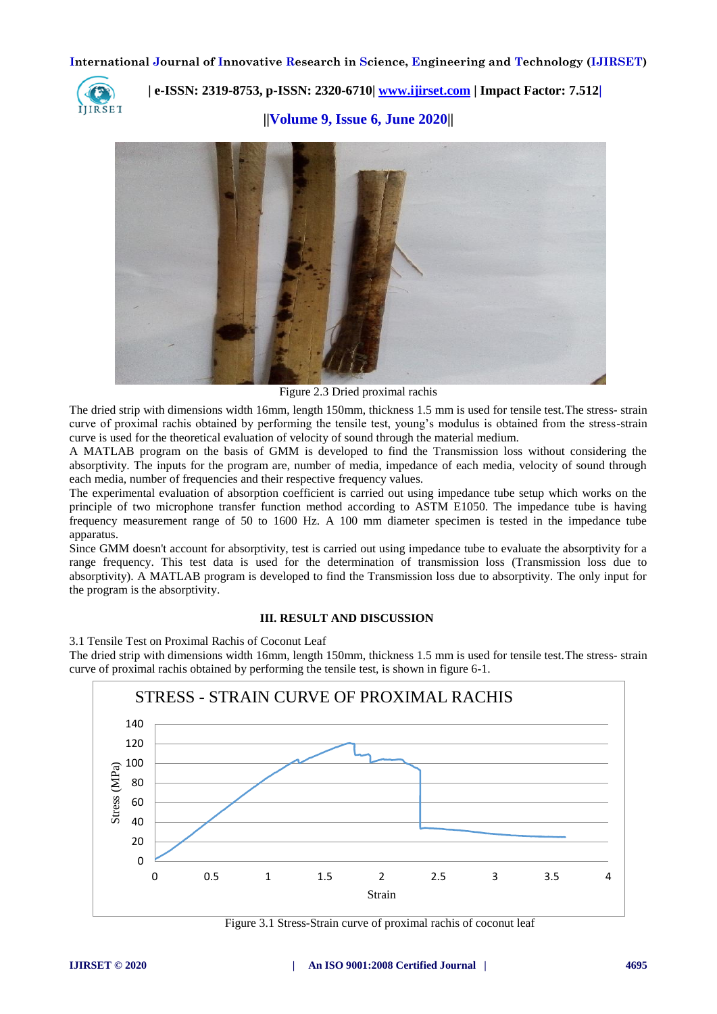

 **| e-ISSN: 2319-8753, p-ISSN: 2320-6710| [www.ijirset.com](http://www.ijirset.com/) | Impact Factor: 7.512|**

**||Volume 9, Issue 6, June 2020||** 



Figure 2.3 Dried proximal rachis

The dried strip with dimensions width 16mm, length 150mm, thickness 1.5 mm is used for tensile test.The stress- strain curve of proximal rachis obtained by performing the tensile test, young's modulus is obtained from the stress-strain curve is used for the theoretical evaluation of velocity of sound through the material medium.

A MATLAB program on the basis of GMM is developed to find the Transmission loss without considering the absorptivity. The inputs for the program are, number of media, impedance of each media, velocity of sound through each media, number of frequencies and their respective frequency values.

The experimental evaluation of absorption coefficient is carried out using impedance tube setup which works on the principle of two microphone transfer function method according to ASTM E1050. The impedance tube is having frequency measurement range of 50 to 1600 Hz. A 100 mm diameter specimen is tested in the impedance tube apparatus.

Since GMM doesn't account for absorptivity, test is carried out using impedance tube to evaluate the absorptivity for a range frequency. This test data is used for the determination of transmission loss (Transmission loss due to absorptivity). A MATLAB program is developed to find the Transmission loss due to absorptivity. The only input for the program is the absorptivity.

#### **III. RESULT AND DISCUSSION**

3.1 Tensile Test on Proximal Rachis of Coconut Leaf

The dried strip with dimensions width 16mm, length 150mm, thickness 1.5 mm is used for tensile test.The stress- strain curve of proximal rachis obtained by performing the tensile test, is shown in figure 6-1.



Figure 3.1 Stress-Strain curve of proximal rachis of coconut leaf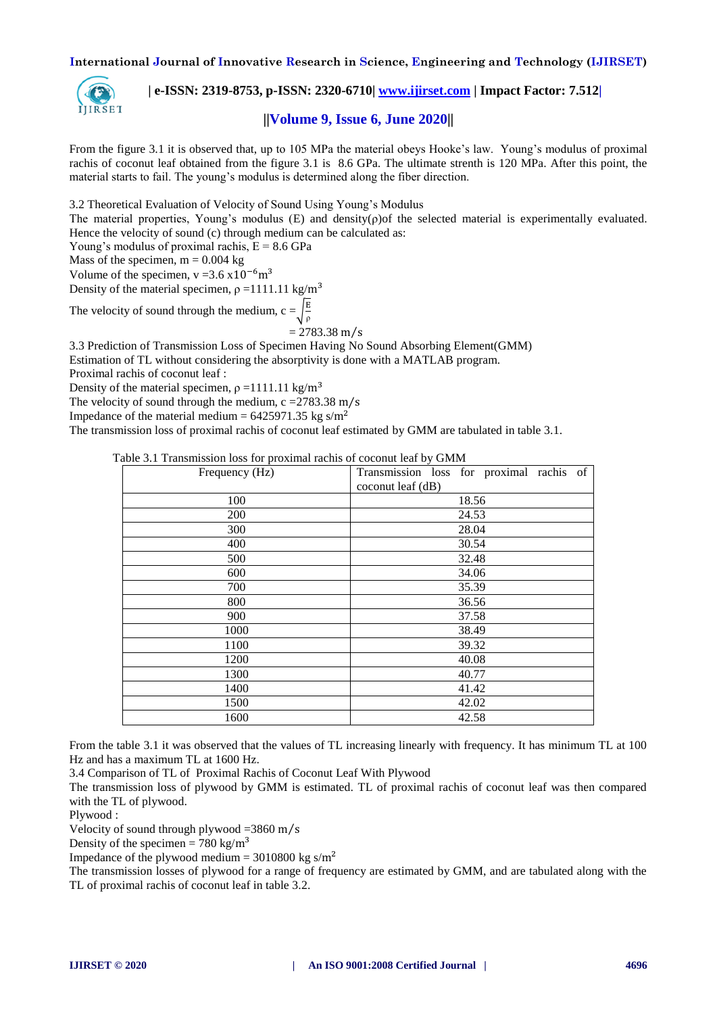

 **| e-ISSN: 2319-8753, p-ISSN: 2320-6710| [www.ijirset.com](http://www.ijirset.com/) | Impact Factor: 7.512|**

## **||Volume 9, Issue 6, June 2020||**

From the figure 3.1 it is observed that, up to 105 MPa the material obeys Hooke's law. Young's modulus of proximal rachis of coconut leaf obtained from the figure 3.1 is 8.6 GPa. The ultimate strenth is 120 MPa. After this point, the material starts to fail. The young's modulus is determined along the fiber direction.

3.2 Theoretical Evaluation of Velocity of Sound Using Young's Modulus

The material properties, Young's modulus (E) and density( $\rho$ ) of the selected material is experimentally evaluated. Hence the velocity of sound (c) through medium can be calculated as:

Young's modulus of proximal rachis,  $E = 8.6$  GPa

Mass of the specimen,  $m = 0.004$  kg

Volume of the specimen,  $v = 3.6 \times 10^{-6}$  m<sup>3</sup>

Density of the material specimen,  $\rho = 1111.11$  kg/m<sup>3</sup>

The velocity of sound through the medium,  $c = \frac{E}{a}$  $\rho$ 

 $= 2783.38$  m/s

3.3 Prediction of Transmission Loss of Specimen Having No Sound Absorbing Element(GMM)

Estimation of TL without considering the absorptivity is done with a MATLAB program.

Proximal rachis of coconut leaf :

Density of the material specimen,  $\rho = 1111.11 \text{ kg/m}^3$ 

The velocity of sound through the medium,  $c = 2783.38$  m/s

```
Impedance of the material medium = 6425971.35 kg s/m<sup>2</sup>
```
The transmission loss of proximal rachis of coconut leaf estimated by GMM are tabulated in table 3.1.

| Table 3.1 Transmission loss for proximal rachis of coconut leaf by GMM |  |  |  |
|------------------------------------------------------------------------|--|--|--|
|                                                                        |  |  |  |

| Frequency (Hz) | Transmission loss for proximal rachis of |  |  |  |  |  |  |
|----------------|------------------------------------------|--|--|--|--|--|--|
|                | coconut leaf (dB)                        |  |  |  |  |  |  |
| 100            | 18.56                                    |  |  |  |  |  |  |
| 200            | 24.53                                    |  |  |  |  |  |  |
| 300            | 28.04                                    |  |  |  |  |  |  |
| 400            | 30.54                                    |  |  |  |  |  |  |
| 500            | 32.48                                    |  |  |  |  |  |  |
| 600            | 34.06                                    |  |  |  |  |  |  |
| 700            | 35.39                                    |  |  |  |  |  |  |
| 800            | 36.56                                    |  |  |  |  |  |  |
| 900            | 37.58                                    |  |  |  |  |  |  |
| 1000           | 38.49                                    |  |  |  |  |  |  |
| 1100           | 39.32                                    |  |  |  |  |  |  |
| 1200           | 40.08                                    |  |  |  |  |  |  |
| 1300           | 40.77                                    |  |  |  |  |  |  |
| 1400           | 41.42                                    |  |  |  |  |  |  |
| 1500           | 42.02                                    |  |  |  |  |  |  |
| 1600           | 42.58                                    |  |  |  |  |  |  |

From the table 3.1 it was observed that the values of TL increasing linearly with frequency. It has minimum TL at 100 Hz and has a maximum TL at 1600 Hz.

3.4 Comparison of TL of Proximal Rachis of Coconut Leaf With Plywood

The transmission loss of plywood by GMM is estimated. TL of proximal rachis of coconut leaf was then compared with the TL of plywood.

Plywood :

Velocity of sound through plywood  $=3860 \text{ m/s}$ 

Density of the specimen = 780 kg/m<sup>3</sup>

Impedance of the plywood medium =  $3010800 \text{ kg s/m}^2$ 

The transmission losses of plywood for a range of frequency are estimated by GMM, and are tabulated along with the TL of proximal rachis of coconut leaf in table 3.2.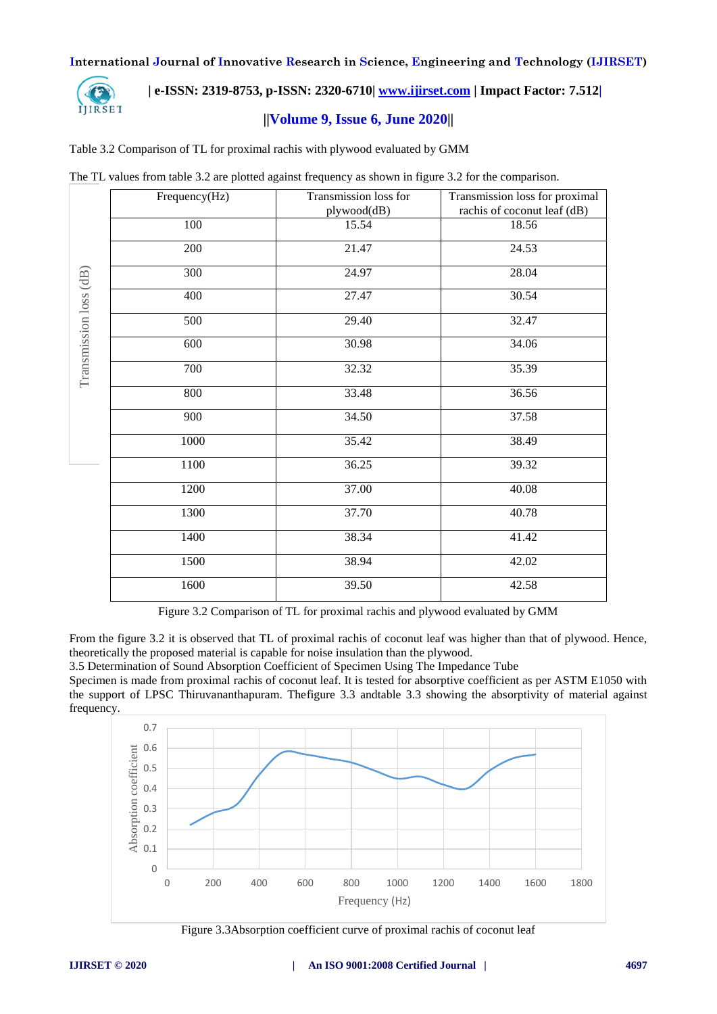

## **| e-ISSN: 2319-8753, p-ISSN: 2320-6710| [www.ijirset.com](http://www.ijirset.com/) | Impact Factor: 7.512|**

## **||Volume 9, Issue 6, June 2020||**

Table 3.2 Comparison of TL for proximal rachis with plywood evaluated by GMM

|  |  |  | The TL values from table 3.2 are plotted against frequency as shown in figure 3.2 for the comparison. |  |  |  |  |  |
|--|--|--|-------------------------------------------------------------------------------------------------------|--|--|--|--|--|
|  |  |  |                                                                                                       |  |  |  |  |  |
|  |  |  |                                                                                                       |  |  |  |  |  |
|  |  |  |                                                                                                       |  |  |  |  |  |

|                        | Frequency(Hz) | Transmission loss for | Transmission loss for proximal |
|------------------------|---------------|-----------------------|--------------------------------|
|                        |               | plywood(dB)           | rachis of coconut leaf (dB)    |
|                        | 100           | 15.54                 | 18.56                          |
|                        | 200           | 21.47                 | 24.53                          |
|                        | 300           | 24.97                 | 28.04                          |
|                        | 400           | 27.47                 | 30.54                          |
| Transmission loss (dB) | 500           | 29.40                 | 32.47                          |
|                        | 600           | 30.98                 | 34.06                          |
|                        | 700           | 32.32                 | 35.39                          |
|                        | 800           | 33.48                 | 36.56                          |
|                        | 900           | 34.50                 | 37.58                          |
|                        | 1000          | 35.42                 | 38.49                          |
|                        | 1100          | 36.25                 | 39.32                          |
|                        | 1200          | 37.00                 | 40.08                          |
|                        | 1300          | 37.70                 | 40.78                          |
|                        | 1400          | 38.34                 | 41.42                          |
|                        | 1500          | 38.94                 | 42.02                          |
|                        | 1600          | 39.50                 | 42.58                          |

Figure 3.2 Comparison of TL for proximal rachis and plywood evaluated by GMM

From the figure 3.2 it is observed that TL of proximal rachis of coconut leaf was higher than that of plywood. Hence, theoretically the proposed material is capable for noise insulation than the plywood.

3.5 Determination of Sound Absorption Coefficient of Specimen Using The Impedance Tube

Specimen is made from proximal rachis of coconut leaf. It is tested for absorptive coefficient as per ASTM E1050 with the support of LPSC Thiruvananthapuram. Thefigure 3.3 andtable 3.3 showing the absorptivity of material against frequency.



Figure 3.3Absorption coefficient curve of proximal rachis of coconut leaf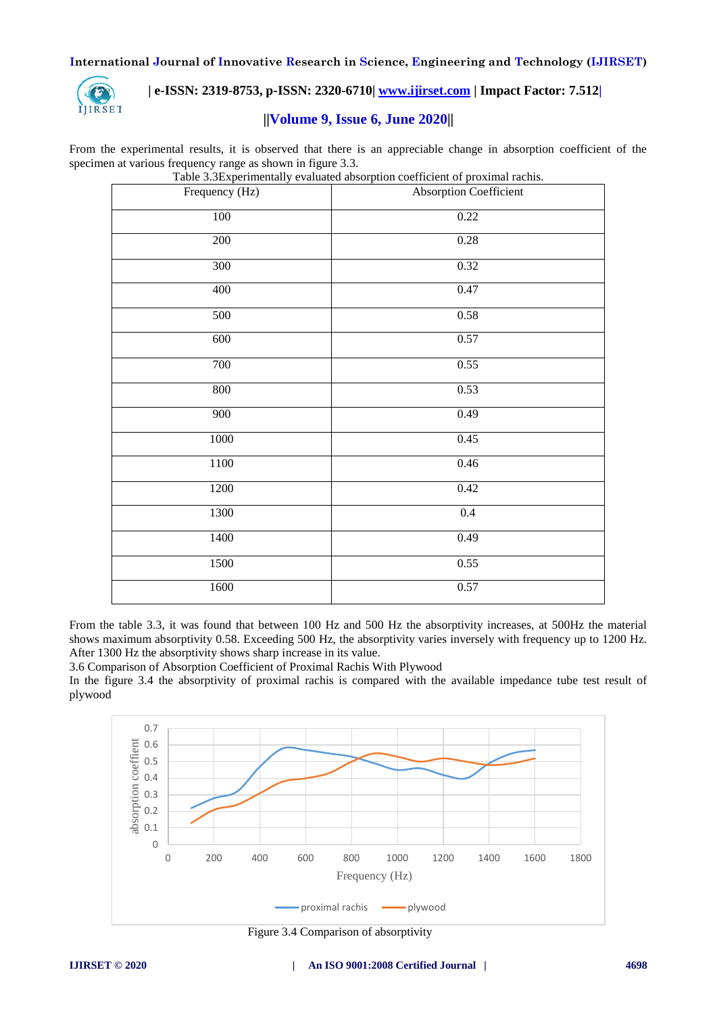

## **| e-ISSN: 2319-8753, p-ISSN: 2320-6710| [www.ijirset.com](http://www.ijirset.com/) | Impact Factor: 7.512|**

## **||Volume 9, Issue 6, June 2020||**

From the experimental results, it is observed that there is an appreciable change in absorption coefficient of the specimen at various frequency range as shown in figure 3.3.

|                | Table 5.5 Experimentally evaluated absorption coefficient of proximal facilis. |  |  |  |  |
|----------------|--------------------------------------------------------------------------------|--|--|--|--|
| Frequency (Hz) | Absorption Coefficient                                                         |  |  |  |  |
| $100\,$        | 0.22                                                                           |  |  |  |  |
| 200            | 0.28                                                                           |  |  |  |  |
| 300            | 0.32                                                                           |  |  |  |  |
| 400            | 0.47                                                                           |  |  |  |  |
| 500            | $0.58\,$                                                                       |  |  |  |  |
| 600            | 0.57                                                                           |  |  |  |  |
| 700            | 0.55                                                                           |  |  |  |  |
| 800            | 0.53                                                                           |  |  |  |  |
| 900            | 0.49                                                                           |  |  |  |  |
| $1000\,$       | 0.45                                                                           |  |  |  |  |
| 1100           | 0.46                                                                           |  |  |  |  |
| 1200           | 0.42                                                                           |  |  |  |  |
| 1300           | 0.4                                                                            |  |  |  |  |
| 1400           | 0.49                                                                           |  |  |  |  |
| 1500           | 0.55                                                                           |  |  |  |  |
| 1600           | 0.57                                                                           |  |  |  |  |

Table 3.3Experimentally evaluated absorption coefficient of proximal rachis.

From the table 3.3, it was found that between 100 Hz and 500 Hz the absorptivity increases, at 500Hz the material shows maximum absorptivity 0.58. Exceeding 500 Hz, the absorptivity varies inversely with frequency up to 1200 Hz. After 1300 Hz the absorptivity shows sharp increase in its value.

3.6 Comparison of Absorption Coefficient of Proximal Rachis With Plywood

In the figure 3.4 the absorptivity of proximal rachis is compared with the available impedance tube test result of plywood



Figure 3.4 Comparison of absorptivity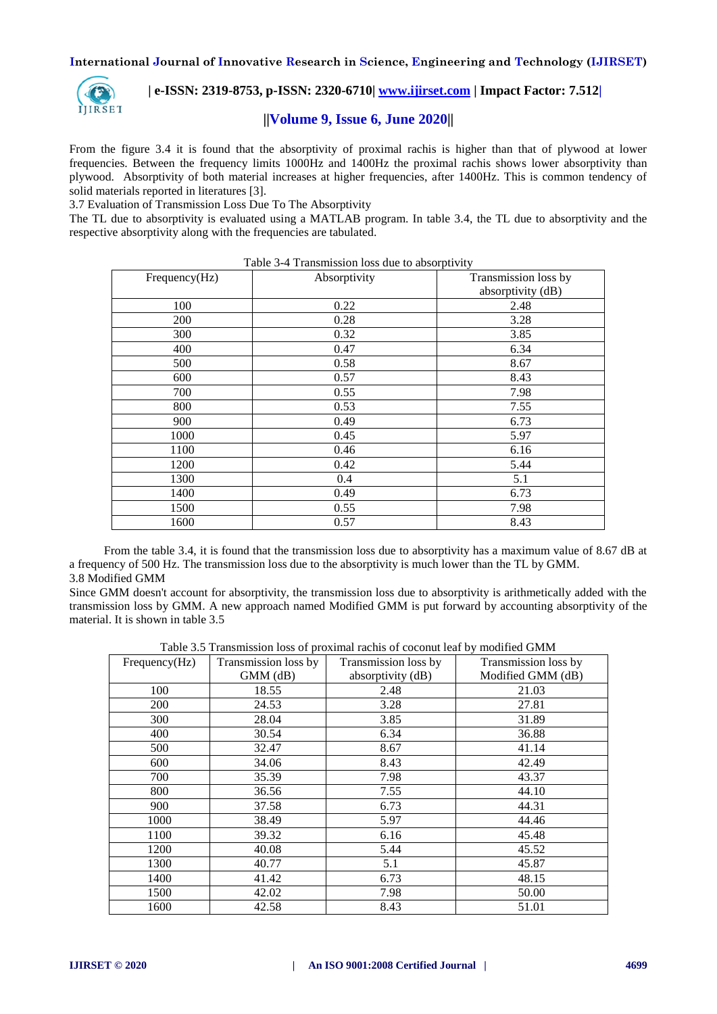

## **| e-ISSN: 2319-8753, p-ISSN: 2320-6710| [www.ijirset.com](http://www.ijirset.com/) | Impact Factor: 7.512|**

## **||Volume 9, Issue 6, June 2020||**

From the figure 3.4 it is found that the absorptivity of proximal rachis is higher than that of plywood at lower frequencies. Between the frequency limits 1000Hz and 1400Hz the proximal rachis shows lower absorptivity than plywood. Absorptivity of both material increases at higher frequencies, after 1400Hz. This is common tendency of solid materials reported in literatures [3].

3.7 Evaluation of Transmission Loss Due To The Absorptivity

The TL due to absorptivity is evaluated using a MATLAB program. In table 3.4, the TL due to absorptivity and the respective absorptivity along with the frequencies are tabulated.

| Table 3-4 Transmission loss due to absorptivity<br>Transmission loss by<br>Frequency(Hz)<br>Absorptivity |      |                   |  |  |  |  |  |
|----------------------------------------------------------------------------------------------------------|------|-------------------|--|--|--|--|--|
|                                                                                                          |      |                   |  |  |  |  |  |
|                                                                                                          |      | absorptivity (dB) |  |  |  |  |  |
| 100                                                                                                      | 0.22 | 2.48              |  |  |  |  |  |
| 200                                                                                                      | 0.28 | 3.28              |  |  |  |  |  |
| 300                                                                                                      | 0.32 | 3.85              |  |  |  |  |  |
| 400                                                                                                      | 0.47 | 6.34              |  |  |  |  |  |
| 500                                                                                                      | 0.58 | 8.67              |  |  |  |  |  |
| 600                                                                                                      | 0.57 | 8.43              |  |  |  |  |  |
| 700                                                                                                      | 0.55 | 7.98              |  |  |  |  |  |
| 800                                                                                                      | 0.53 | 7.55              |  |  |  |  |  |
| 900                                                                                                      | 0.49 | 6.73              |  |  |  |  |  |
| 1000                                                                                                     | 0.45 | 5.97              |  |  |  |  |  |
| 1100                                                                                                     | 0.46 | 6.16              |  |  |  |  |  |
| 1200                                                                                                     | 0.42 | 5.44              |  |  |  |  |  |
| 1300                                                                                                     | 0.4  | 5.1               |  |  |  |  |  |
| 1400                                                                                                     | 0.49 | 6.73              |  |  |  |  |  |
| 1500                                                                                                     | 0.55 | 7.98              |  |  |  |  |  |
| 1600                                                                                                     | 0.57 | 8.43              |  |  |  |  |  |

From the table 3.4, it is found that the transmission loss due to absorptivity has a maximum value of 8.67 dB at a frequency of 500 Hz. The transmission loss due to the absorptivity is much lower than the TL by GMM. 3.8 Modified GMM

Since GMM doesn't account for absorptivity, the transmission loss due to absorptivity is arithmetically added with the transmission loss by GMM. A new approach named Modified GMM is put forward by accounting absorptivity of the material. It is shown in table 3.5

Table 3.5 Transmission loss of proximal rachis of coconut leaf by modified GMM

| Frequency(Hz) | Transmission loss by | Transmission loss by | Transmission loss by |  |  |
|---------------|----------------------|----------------------|----------------------|--|--|
|               | $GMM$ ( $dB$ )       | absorptivity (dB)    | Modified GMM (dB)    |  |  |
| 100           | 18.55                | 2.48                 | 21.03                |  |  |
| 200           | 24.53                | 3.28                 | 27.81                |  |  |
| 300           | 28.04                | 3.85                 | 31.89                |  |  |
| 400           | 30.54                | 6.34                 | 36.88                |  |  |
| 500           | 32.47                | 8.67                 | 41.14                |  |  |
| 600           | 34.06                | 8.43                 | 42.49                |  |  |
| 700           | 35.39                | 7.98                 | 43.37                |  |  |
| 800           | 36.56                | 7.55                 | 44.10                |  |  |
| 900           | 37.58                | 6.73                 | 44.31                |  |  |
| 1000          | 38.49                | 5.97                 | 44.46                |  |  |
| 1100          | 39.32                | 6.16                 | 45.48                |  |  |
| 1200          | 40.08                | 5.44                 | 45.52                |  |  |
| 1300          | 40.77                | 5.1                  | 45.87                |  |  |
| 1400          | 41.42                | 6.73                 | 48.15                |  |  |
| 1500          | 42.02                | 7.98                 | 50.00                |  |  |
| 1600          | 42.58                | 8.43                 | 51.01                |  |  |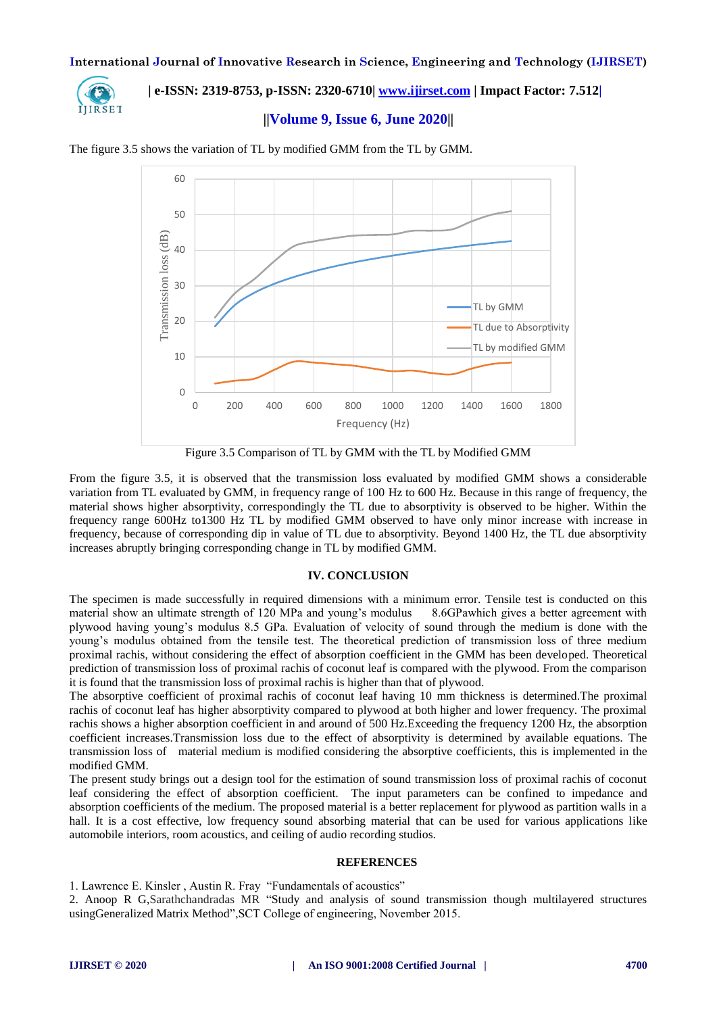

 **| e-ISSN: 2319-8753, p-ISSN: 2320-6710| [www.ijirset.com](http://www.ijirset.com/) | Impact Factor: 7.512|**

## **||Volume 9, Issue 6, June 2020||**



The figure 3.5 shows the variation of TL by modified GMM from the TL by GMM.

Figure 3.5 Comparison of TL by GMM with the TL by Modified GMM

From the figure 3.5, it is observed that the transmission loss evaluated by modified GMM shows a considerable variation from TL evaluated by GMM, in frequency range of 100 Hz to 600 Hz. Because in this range of frequency, the material shows higher absorptivity, correspondingly the TL due to absorptivity is observed to be higher. Within the frequency range 600Hz to1300 Hz TL by modified GMM observed to have only minor increase with increase in frequency, because of corresponding dip in value of TL due to absorptivity. Beyond 1400 Hz, the TL due absorptivity increases abruptly bringing corresponding change in TL by modified GMM.

#### **IV. CONCLUSION**

The specimen is made successfully in required dimensions with a minimum error. Tensile test is conducted on this material show an ultimate strength of 120 MPa and young's modulus 8.6GPawhich gives a better agreement with plywood having young's modulus 8.5 GPa. Evaluation of velocity of sound through the medium is done with the young's modulus obtained from the tensile test. The theoretical prediction of transmission loss of three medium proximal rachis, without considering the effect of absorption coefficient in the GMM has been developed. Theoretical prediction of transmission loss of proximal rachis of coconut leaf is compared with the plywood. From the comparison it is found that the transmission loss of proximal rachis is higher than that of plywood.

The absorptive coefficient of proximal rachis of coconut leaf having 10 mm thickness is determined.The proximal rachis of coconut leaf has higher absorptivity compared to plywood at both higher and lower frequency. The proximal rachis shows a higher absorption coefficient in and around of 500 Hz.Exceeding the frequency 1200 Hz, the absorption coefficient increases.Transmission loss due to the effect of absorptivity is determined by available equations. The transmission loss of material medium is modified considering the absorptive coefficients, this is implemented in the modified GMM.

The present study brings out a design tool for the estimation of sound transmission loss of proximal rachis of coconut leaf considering the effect of absorption coefficient. The input parameters can be confined to impedance and absorption coefficients of the medium. The proposed material is a better replacement for plywood as partition walls in a hall. It is a cost effective, low frequency sound absorbing material that can be used for various applications like automobile interiors, room acoustics, and ceiling of audio recording studios.

#### **REFERENCES**

1. Lawrence E. Kinsler , Austin R. Fray "Fundamentals of acoustics"

2. Anoop R G,Sarathchandradas MR "Study and analysis of sound transmission though multilayered structures usingGeneralized Matrix Method",SCT College of engineering, November 2015.